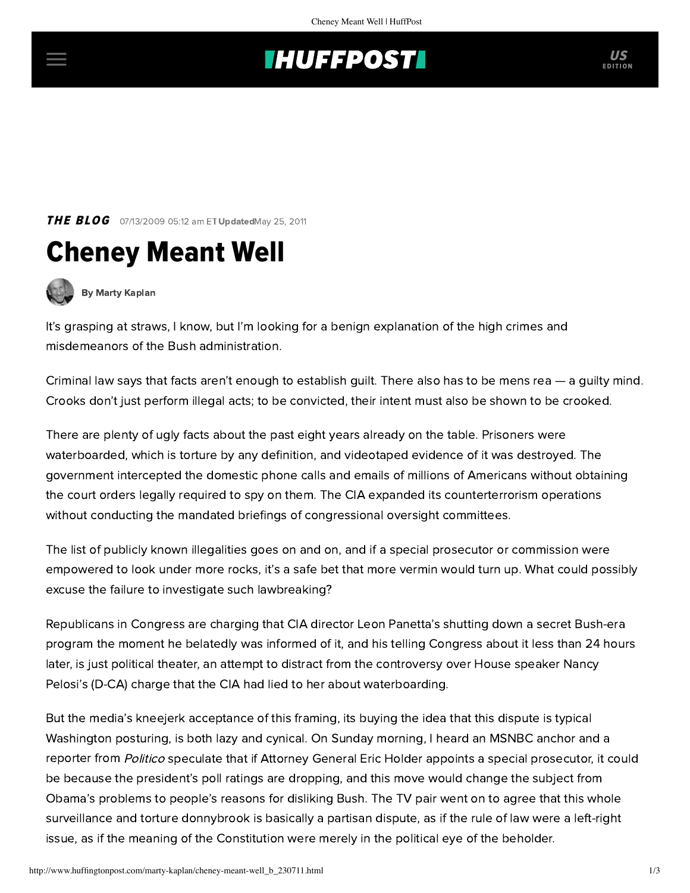## **INUFFPOST**

**THE BLOG** 07/13/2009 05:12 am ET UpdatedMay 25, 2011





[By Marty Kaplan](http://www.huffingtonpost.com/author/marty-kaplan)

It's grasping at straws, I know, but I'm looking for a benign explanation of the high crimes and misdemeanors of the Bush administration.

Criminal law says that facts aren't enough to establish guilt. There also has to be mens rea — a guilty mind. Crooks don't just perform illegal acts; to be convicted, their intent must also be shown to be crooked.

There are plenty of ugly facts about the past eight years already on the table. Prisoners were waterboarded, which is torture by any definition, and videotaped evidence of it was destroyed. The government intercepted the domestic phone calls and emails of millions of Americans without obtaining the court orders legally required to spy on them. The CIA expanded its counterterrorism operations without conducting the mandated briefings of congressional oversight committees.

The list of publicly known illegalities goes on and on, and if a special prosecutor or commission were empowered to look under more rocks, it's a safe bet that more vermin would turn up. What could possibly excuse the failure to investigate such lawbreaking?

Republicans in Congress are charging that CIA director Leon Panetta's shutting down a secret Bush-era program the moment he belatedly was informed of it, and his telling Congress about it less than 24 hours later, is just political theater, an attempt to distract from the controversy over House speaker Nancy Pelosi's (D-CA) charge that the CIA had lied to her about waterboarding.

But the media's kneejerk acceptance of this framing, its buying the idea that this dispute is typical Washington posturing, is both lazy and cynical. On Sunday morning, I heard an MSNBC anchor and a reporter from *Politico* speculate that if Attorney General Eric Holder appoints a special prosecutor, it could be because the president's poll ratings are dropping, and this move would change the subject from Obama's problems to people's reasons for disliking Bush. The TV pair went on to agree that this whole surveillance and torture donnybrook is basically a partisan dispute, as if the rule of law were a left-right issue, as if the meaning of the Constitution were merely in the political eye of the beholder.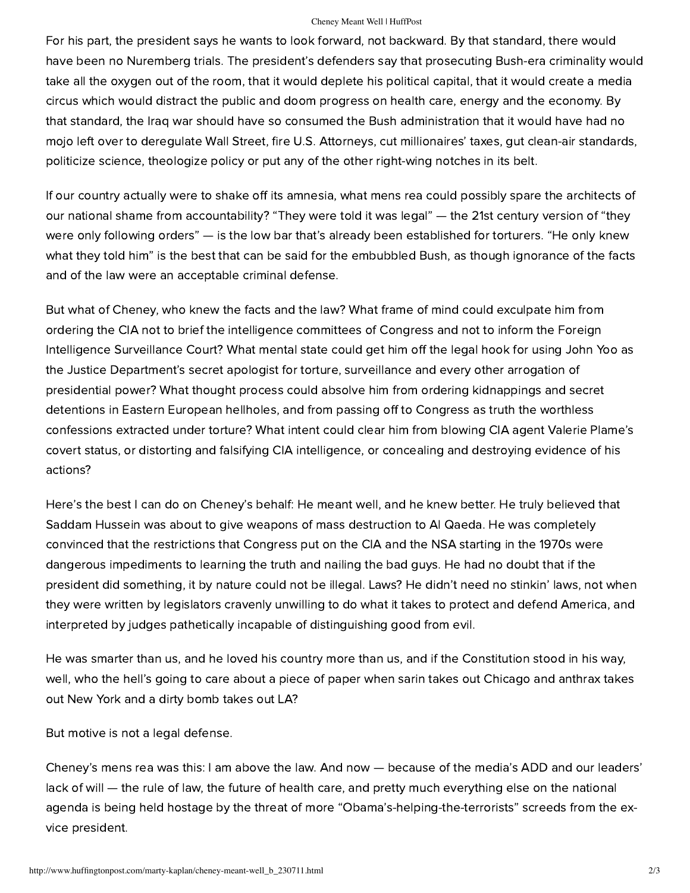## Cheney Meant Well | HuffPost

For his part, the president says he wants to look forward, not backward. By that standard, there would have been no Nuremberg trials. The president's defenders say that prosecuting Bush-era criminality would take all the oxygen out of the room, that it would deplete his political capital, that it would create a media circus which would distract the public and doom progress on health care, energy and the economy. By that standard, the Iraq war should have so consumed the Bush administration that it would have had no mojo left over to deregulate Wall Street, fire U.S. Attorneys, cut millionaires' taxes, gut clean-air standards, politicize science, theologize policy or put any of the other right-wing notches in its belt.

If our country actually were to shake off its amnesia, what mens rea could possibly spare the architects of our national shame from accountability? "They were told it was legal" — the 21st century version of "they were only following orders" — is the low bar that's already been established for torturers. "He only knew what they told him" is the best that can be said for the embubbled Bush, as though ignorance of the facts and of the law were an acceptable criminal defense.

But what of Cheney, who knew the facts and the law? What frame of mind could exculpate him from ordering the CIA not to brief the intelligence committees of Congress and not to inform the Foreign Intelligence Surveillance Court? What mental state could get him off the legal hook for using John Yoo as the Justice Department's secret apologist for torture, surveillance and every other arrogation of presidential power? What thought process could absolve him from ordering kidnappings and secret detentions in Eastern European hellholes, and from passing off to Congress as truth the worthless confessions extracted under torture? What intent could clear him from blowing CIA agent Valerie Plame's covert status, or distorting and falsifying CIA intelligence, or concealing and destroying evidence of his actions?

Here's the best I can do on Cheney's behalf: He meant well, and he knew better. He truly believed that Saddam Hussein was about to give weapons of mass destruction to Al Qaeda. He was completely convinced that the restrictions that Congress put on the CIA and the NSA starting in the 1970s were dangerous impediments to learning the truth and nailing the bad guys. He had no doubt that if the president did something, it by nature could not be illegal. Laws? He didn't need no stinkin' laws, not when they were written by legislators cravenly unwilling to do what it takes to protect and defend America, and interpreted by judges pathetically incapable of distinguishing good from evil.

He was smarter than us, and he loved his country more than us, and if the Constitution stood in his way, well, who the hell's going to care about a piece of paper when sarin takes out Chicago and anthrax takes out New York and a dirty bomb takes out LA?

But motive is not a legal defense.

Cheney's mens rea was this: I am above the law. And now — because of the media's ADD and our leaders' lack of will — the rule of law, the future of health care, and pretty much everything else on the national agenda is being held hostage by the threat of more "Obama's-helping-the-terrorists" screeds from the exvice president.